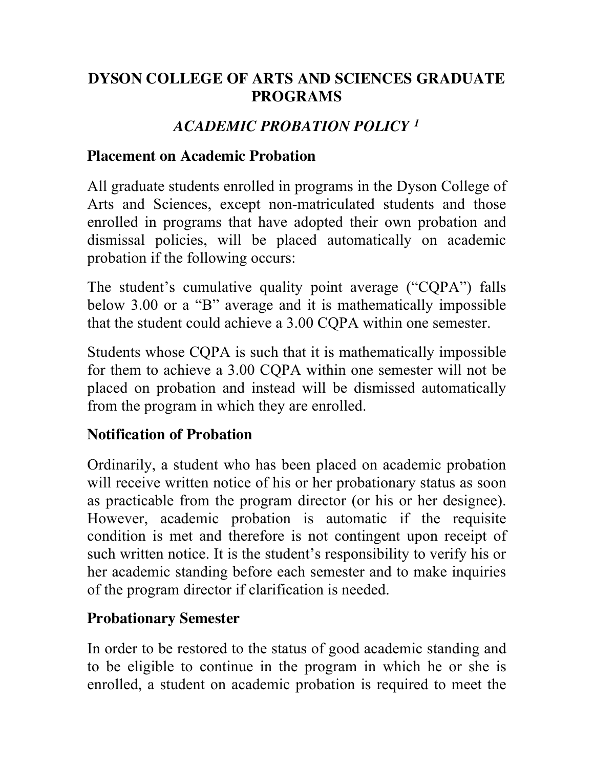### **DYSON COLLEGE OF ARTS AND SCIENCES GRADUATE PROGRAMS**

# *ACADEMIC PROBATION POLICY 1*

#### **Placement on Academic Probation**

All graduate students enrolled in programs in the Dyson College of Arts and Sciences, except non-matriculated students and those enrolled in programs that have adopted their own probation and dismissal policies, will be placed automatically on academic probation if the following occurs:

The student's cumulative quality point average ("CQPA") falls below 3.00 or a "B" average and it is mathematically impossible that the student could achieve a 3.00 CQPA within one semester.

Students whose CQPA is such that it is mathematically impossible for them to achieve a 3.00 CQPA within one semester will not be placed on probation and instead will be dismissed automatically from the program in which they are enrolled.

### **Notification of Probation**

Ordinarily, a student who has been placed on academic probation will receive written notice of his or her probationary status as soon as practicable from the program director (or his or her designee). However, academic probation is automatic if the requisite condition is met and therefore is not contingent upon receipt of such written notice. It is the student's responsibility to verify his or her academic standing before each semester and to make inquiries of the program director if clarification is needed.

### **Probationary Semester**

In order to be restored to the status of good academic standing and to be eligible to continue in the program in which he or she is enrolled, a student on academic probation is required to meet the